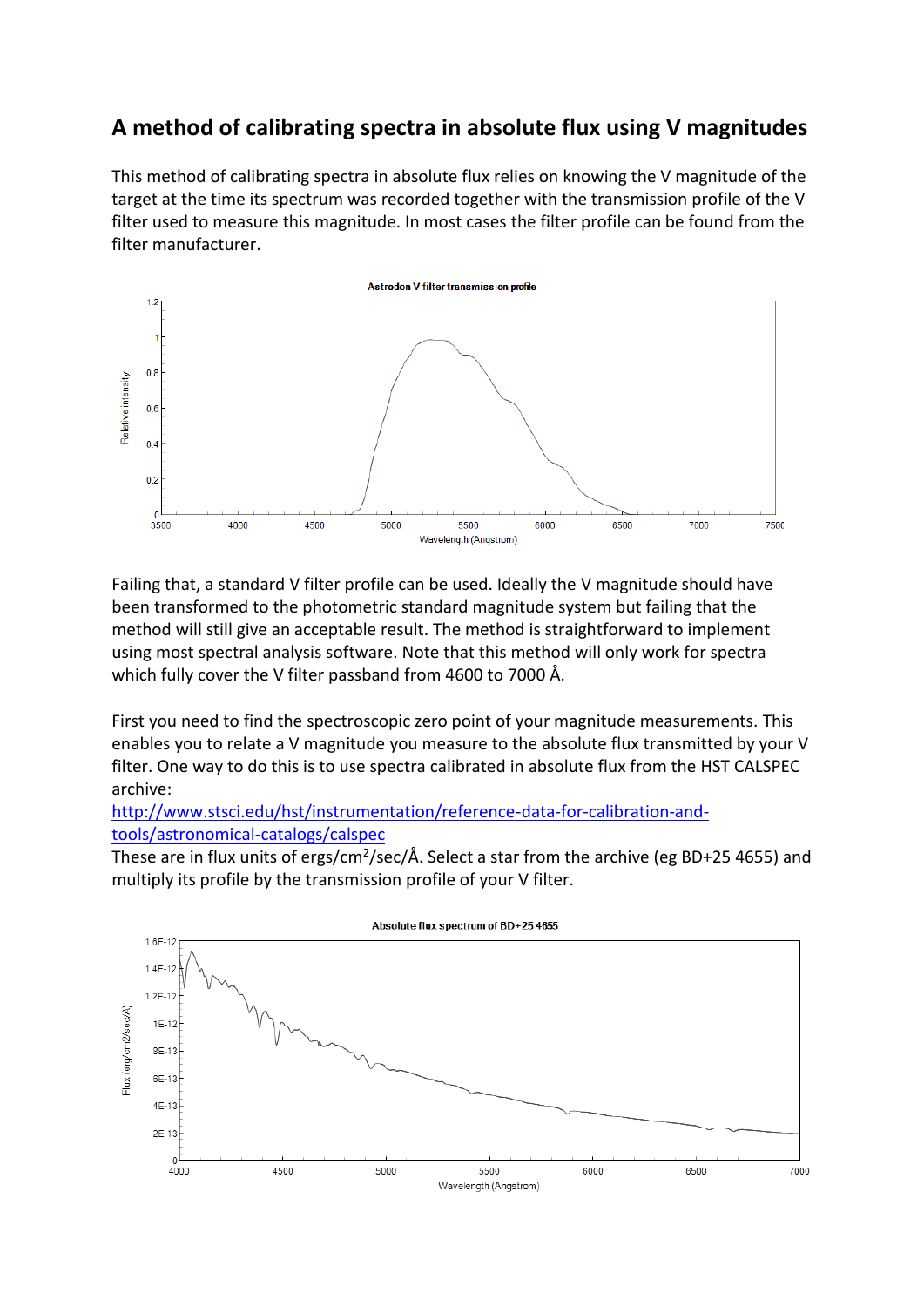## **A method of calibrating spectra in absolute flux using V magnitudes**

This method of calibrating spectra in absolute flux relies on knowing the V magnitude of the target at the time its spectrum was recorded together with the transmission profile of the V filter used to measure this magnitude. In most cases the filter profile can be found from the filter manufacturer.



Failing that, a standard V filter profile can be used. Ideally the V magnitude should have been transformed to the photometric standard magnitude system but failing that the method will still give an acceptable result. The method is straightforward to implement using most spectral analysis software. Note that this method will only work for spectra which fully cover the V filter passband from 4600 to 7000 Å.

First you need to find the spectroscopic zero point of your magnitude measurements. This enables you to relate a V magnitude you measure to the absolute flux transmitted by your V filter. One way to do this is to use spectra calibrated in absolute flux from the HST CALSPEC archive:

[http://www.stsci.edu/hst/instrumentation/reference-data-for-calibration-and](http://www.stsci.edu/hst/instrumentation/reference-data-for-calibration-and-tools/astronomical-catalogs/calspec)[tools/astronomical-catalogs/calspec](http://www.stsci.edu/hst/instrumentation/reference-data-for-calibration-and-tools/astronomical-catalogs/calspec)

These are in flux units of ergs/cm<sup>2</sup>/sec/Å. Select a star from the archive (eg BD+25 4655) and multiply its profile by the transmission profile of your V filter.

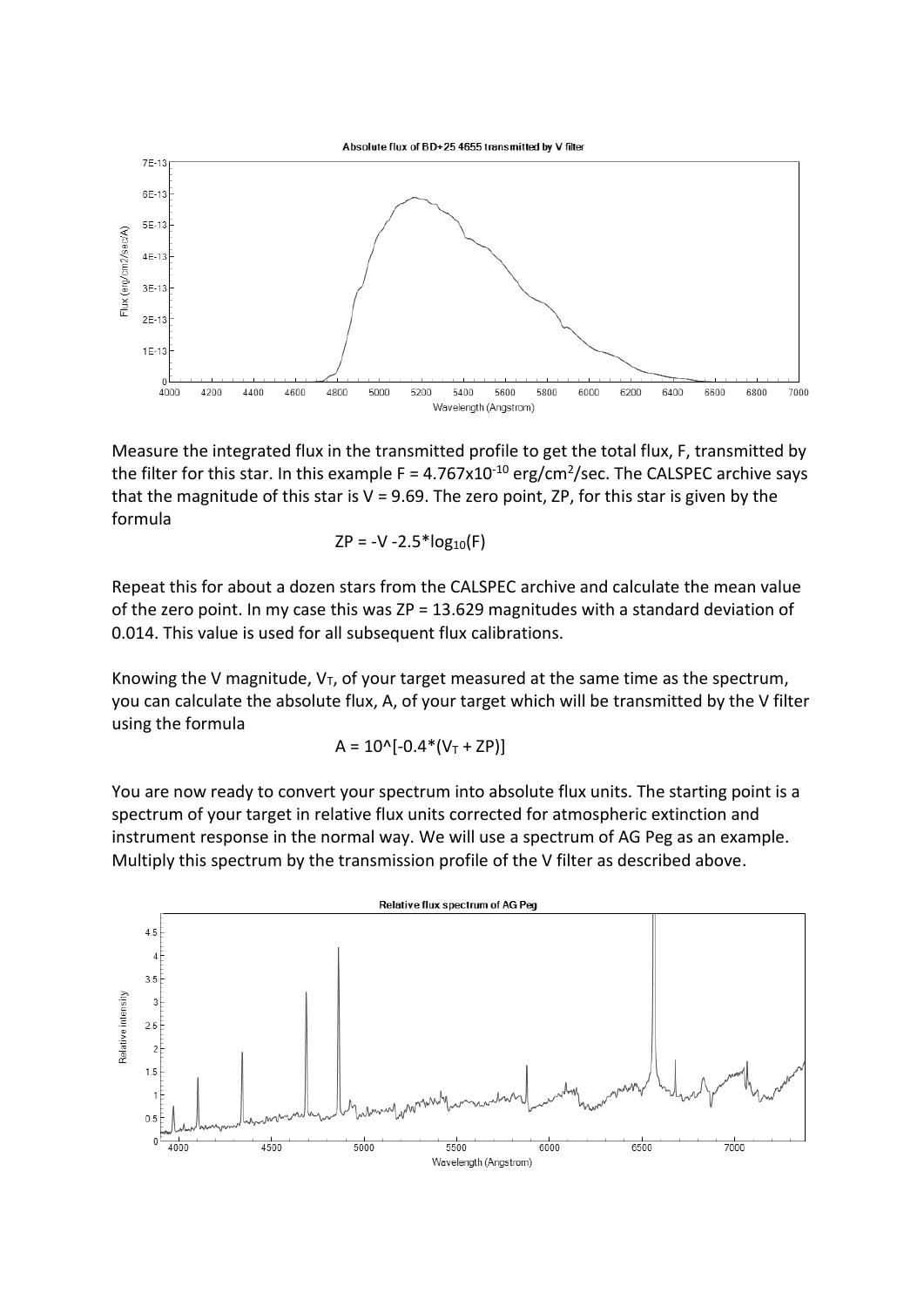

Measure the integrated flux in the transmitted profile to get the total flux, F, transmitted by the filter for this star. In this example F =  $4.767 \times 10^{-10}$  erg/cm<sup>2</sup>/sec. The CALSPEC archive says that the magnitude of this star is  $V = 9.69$ . The zero point, ZP, for this star is given by the formula

$$
ZP = -V - 2.5 * log10(F)
$$

Repeat this for about a dozen stars from the CALSPEC archive and calculate the mean value of the zero point. In my case this was ZP = 13.629 magnitudes with a standard deviation of 0.014. This value is used for all subsequent flux calibrations.

Knowing the V magnitude,  $V_T$ , of your target measured at the same time as the spectrum, you can calculate the absolute flux, A, of your target which will be transmitted by the V filter using the formula

$$
A = 10^{\circ}[-0.4^*(V_T + ZP)]
$$

You are now ready to convert your spectrum into absolute flux units. The starting point is a spectrum of your target in relative flux units corrected for atmospheric extinction and instrument response in the normal way. We will use a spectrum of AG Peg as an example. Multiply this spectrum by the transmission profile of the V filter as described above.